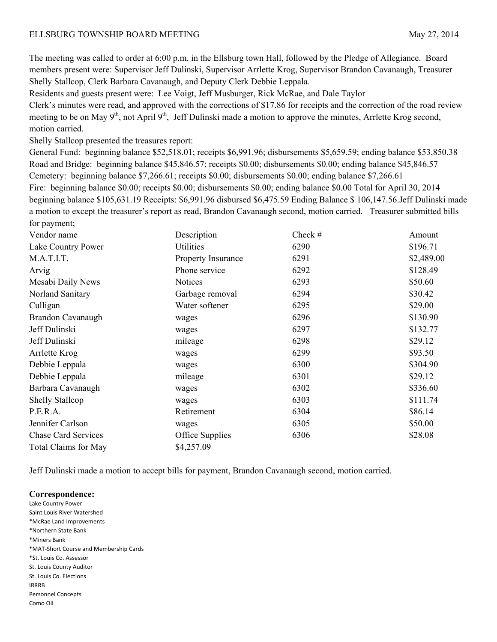## ELLSBURG TOWNSHIP BOARD MEETING MAY 27, 2014

The meeting was called to order at 6:00 p.m. in the Ellsburg town Hall, followed by the Pledge of Allegiance. Board members present were: Supervisor Jeff Dulinski, Supervisor Arrlette Krog, Supervisor Brandon Cavanaugh, Treasurer Shelly Stallcop, Clerk Barbara Cavanaugh, and Deputy Clerk Debbie Leppala.

Residents and guests present were: Lee Voigt, Jeff Musburger, Rick McRae, and Dale Taylor

Clerk's minutes were read, and approved with the corrections of \$17.86 for receipts and the correction of the road review meeting to be on May  $9<sup>th</sup>$ , not April  $9<sup>th</sup>$ , Jeff Dulinski made a motion to approve the minutes, Arrlette Krog second, motion carried.

Shelly Stallcop presented the treasures report:

General Fund: beginning balance \$52,518.01; receipts \$6,991.96; disbursements \$5,659.59; ending balance \$53,850.38 Road and Bridge: beginning balance \$45,846.57; receipts \$0.00; disbursements \$0.00; ending balance \$45,846.57 Cemetery: beginning balance \$7,266.61; receipts \$0.00; disbursements \$0.00; ending balance \$7,266.61 Fire: beginning balance \$0.00; receipts \$0.00; disbursements \$0.00; ending balance \$0.00 Total for April 30, 2014 beginning balance \$105,631.19 Receipts: \$6,991.96 disbursed \$6,475.59 Ending Balance \$ 106,147.56.Jeff Dulinski made a motion to except the treasurer's report as read, Brandon Cavanaugh second, motion carried. Treasurer submitted bills for payment:

| Vendor name                 | Description        | Check $#$ | Amount     |
|-----------------------------|--------------------|-----------|------------|
| Lake Country Power          | <b>Utilities</b>   | 6290      | \$196.71   |
| M.A.T.I.T.                  | Property Insurance | 6291      | \$2,489.00 |
| Arvig                       | Phone service      | 6292      | \$128.49   |
| Mesabi Daily News           | <b>Notices</b>     | 6293      | \$50.60    |
| Norland Sanitary            | Garbage removal    | 6294      | \$30.42    |
| Culligan                    | Water softener     | 6295      | \$29.00    |
| Brandon Cavanaugh           | wages              | 6296      | \$130.90   |
| Jeff Dulinski               | wages              | 6297      | \$132.77   |
| Jeff Dulinski               | mileage            | 6298      | \$29.12    |
| Arrlette Krog               | wages              | 6299      | \$93.50    |
| Debbie Leppala              | wages              | 6300      | \$304.90   |
| Debbie Leppala              | mileage            | 6301      | \$29.12    |
| Barbara Cavanaugh           | wages              | 6302      | \$336.60   |
| <b>Shelly Stallcop</b>      | wages              | 6303      | \$111.74   |
| P.E.R.A.                    | Retirement         | 6304      | \$86.14    |
| Jennifer Carlson            | wages              | 6305      | \$50.00    |
| <b>Chase Card Services</b>  | Office Supplies    | 6306      | \$28.08    |
| <b>Total Claims for May</b> | \$4,257.09         |           |            |
|                             |                    |           |            |

Jeff Dulinski made a motion to accept bills for payment, Brandon Cavanaugh second, motion carried.

## **Correspondence:**

Lake Country Power Saint Louis River Watershed \*McRae Land Improvements \*Northern State Bank \*Miners Bank \*MAT‐Short Course and Membership Cards \*St. Louis Co. Assessor St. Louis County Auditor St. Louis Co. Elections IRRRB Personnel Concepts Como Oil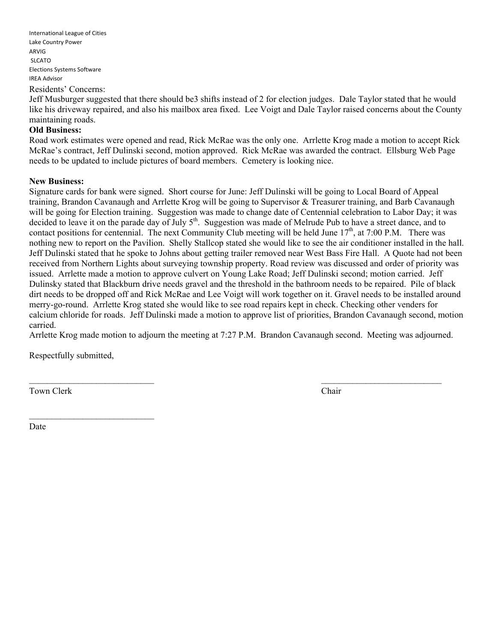International League of Cities Lake Country Power ARVIG SLCATO Elections Systems Software IREA Advisor Residents' Concerns:

Jeff Musburger suggested that there should be3 shifts instead of 2 for election judges. Dale Taylor stated that he would like his driveway repaired, and also his mailbox area fixed. Lee Voigt and Dale Taylor raised concerns about the County maintaining roads.

## **Old Business:**

Road work estimates were opened and read, Rick McRae was the only one. Arrlette Krog made a motion to accept Rick McRae's contract, Jeff Dulinski second, motion approved. Rick McRae was awarded the contract. Ellsburg Web Page needs to be updated to include pictures of board members. Cemetery is looking nice.

## **New Business:**

Signature cards for bank were signed. Short course for June: Jeff Dulinski will be going to Local Board of Appeal training, Brandon Cavanaugh and Arrlette Krog will be going to Supervisor & Treasurer training, and Barb Cavanaugh will be going for Election training. Suggestion was made to change date of Centennial celebration to Labor Day; it was decided to leave it on the parade day of July 5<sup>th</sup>. Suggestion was made of Melrude Pub to have a street dance, and to contact positions for centennial. The next Community Club meeting will be held June  $17<sup>th</sup>$ , at 7:00 P.M. There was nothing new to report on the Pavilion. Shelly Stallcop stated she would like to see the air conditioner installed in the hall. Jeff Dulinski stated that he spoke to Johns about getting trailer removed near West Bass Fire Hall. A Quote had not been received from Northern Lights about surveying township property. Road review was discussed and order of priority was issued. Arrlette made a motion to approve culvert on Young Lake Road; Jeff Dulinski second; motion carried. Jeff Dulinsky stated that Blackburn drive needs gravel and the threshold in the bathroom needs to be repaired. Pile of black dirt needs to be dropped off and Rick McRae and Lee Voigt will work together on it. Gravel needs to be installed around merry-go-round. Arrlette Krog stated she would like to see road repairs kept in check. Checking other venders for calcium chloride for roads. Jeff Dulinski made a motion to approve list of priorities, Brandon Cavanaugh second, motion carried.

Arrlette Krog made motion to adjourn the meeting at 7:27 P.M. Brandon Cavanaugh second. Meeting was adjourned.

Respectfully submitted,

 $\mathcal{L}_\text{max}$ 

Town Clerk Chair

Date